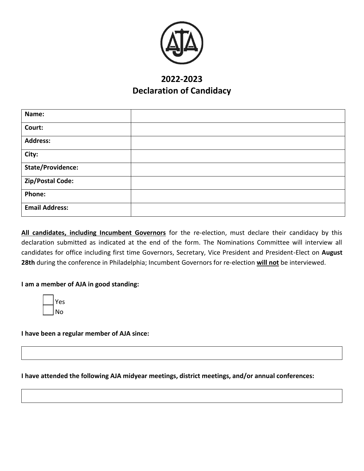

# **2022-2023 Declaration of Candidacy**

| Name:                    |  |
|--------------------------|--|
| Court:                   |  |
| <b>Address:</b>          |  |
| City:                    |  |
| <b>State/Providence:</b> |  |
| Zip/Postal Code:         |  |
| Phone:                   |  |
| <b>Email Address:</b>    |  |

**All candidates, including Incumbent Governors** for the re-election, must declare their candidacy by this declaration submitted as indicated at the end of the form. The Nominations Committee will interview all candidates for office including first time Governors, Secretary, Vice President and President-Elect on **August 28th** during the conference in Philadelphia; Incumbent Governors for re-election **will not** be interviewed.

### **I am a member of AJA in good standing:**

| s<br>÷ |
|--------|
|        |

**I have been a regular member of AJA since:** 

#### **I have attended the following AJA midyear meetings, district meetings, and/or annual conferences:**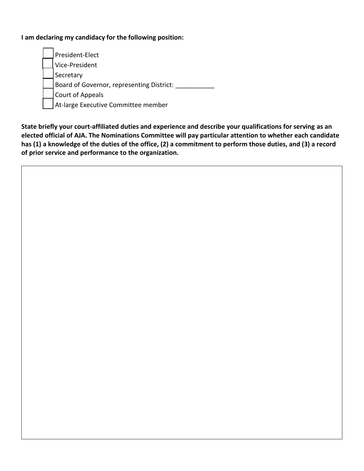## **I am declaring my candidacy for the following position:**

President-Elect Vice-President Secretary Board of Governor, representing District: \_\_\_\_\_\_\_\_\_\_\_\_ Court of Appeals At-large Executive Committee member

**State briefly your court-affiliated duties and experience and describe your qualifications for serving as an elected official of AJA. The Nominations Committee will pay particular attention to whether each candidate has (1) a knowledge of the duties of the office, (2) a commitment to perform those duties, and (3) a record of prior service and performance to the organization.**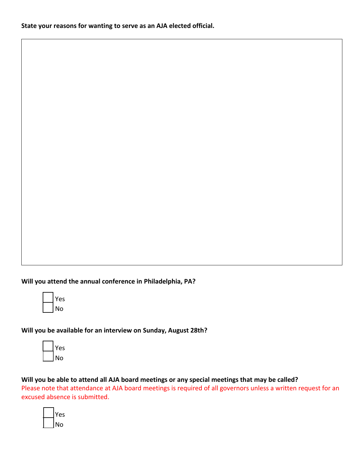**Will you attend the annual conference in Philadelphia, PA?**



**Will you be available for an interview on Sunday, August 28th?**

| ١C<br>٠ |
|---------|
| ١ŕ<br>C |

**Will you be able to attend all AJA board meetings or any special meetings that may be called?** 

Please note that attendance at AJA board meetings is required of all governors unless a written request for an excused absence is submitted.

|  | es |
|--|----|
|  | No |